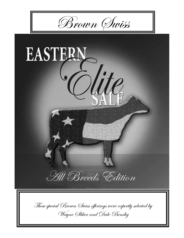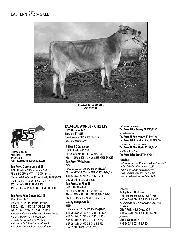EASTERN *Elite* SALE



**Top Acres Pilot Gaiety OCS ET Dam of Lot 55**



**Lindsey A. Rucks Okeechobee, FL 34973 863-634-3187 purebredpublishinlr@gmail.com**

#### **Top Acres C Wonderment ET**

196880 Excellent-90 Superior Sire \*TM PPR +147 95%R PTAT +1.3 97%R 4/13  $PTA + 1299M + 56F + 36P + 141NM$ 97%R (MACE)$ PTA PL -2.0 SCS  $+2.94$  DPR -2.0 SCE  $+5$ 655 dau. av 24487 4.1 996 3.3 806 460 class dau.av. FS:84.4 UDC:  $+0.20$  FLC:  $+0.31$ 

**Top Acres Pilot Gaiety OCS ET** 944613 "Certified" 06/02 2E-E92 E91 E92 E90 E92 E92 (05/11) 5-06 2x 365d 33340 3.9 1298 3.2 1071 2-03 2x 365d 32020 2.9 943 3.2 1030

- *Produce of Dam Member Res. All-American 2011*
- *Jr. 2-Yr-Old HM All-American 2007 • HM All-American Jr 2-Yr-Old 2007*
- 
- *Nominated All-American Aged Cow 2011*
- *Sr. Champion Southeast National 2010*

### **Rad-ical wonder girl etv**

68152386 Tattoo R62 Born: April 1, 2013 Parent Average PPR  $+100$  PTAT:  $+1.2$ *"Big Time Spring Calf!"*

#### **R Hart BC Collection**

189182 Excellent-93 \*TM PPR -4 99%R PTAT  $+0.5$  99%R 4/13 PTA +106M +10F +8P -202NM\$ 99%R (MACE) **Top Acres Whizzbang**

795771 16/09 5E-E93 E94 E95 E93 E95 E92 (12/06) PPR:  $+6476%$ R PTA:  $+204$ NM\$75%\$ (04/13) 8-00 2x 365d 28980 5.2 1505 3.5 1011 Life: 2627d 168310 8547 6068

### **Top Acres Jet Pilot ET**

191611 Not Classified PPR -8 94%R PTAT  $+0.8$  96%R 4/13 PTA +172M +3F -10P -105NM\$ 96%R (GEN) PTA PL -0.3 SCS  $+2.94$  DPR -1.9 SCE  $+7$ 

#### **Bo Joy Ensign Gredel** 843896

15/02 5E-E94 E93 E94 E92 E96 E94 (10/09) 4-11 2x 365d 30190 4.6 1384 3.4 1039 6-10 2x 365d 27220 4.9 1337 3.1 855 2-07 2x 308d 21820 3.6 778 3.2 697 3-07 2x 335d 20990 3.5 743 3.5 732 Life: 1373d 100220 4242 3323

#### *Full Sisters to Gaiety*

**Top Acres Pilot Groovy ET** 2E92/93MS

*• All-American*

**Top Acres M Pilot Ginger ET** E90/90MS

**Top Acres Pilot Geisha OCS ET** E90/90MS

*• Nominated All-American*

- **Top Acres M Pilot Gusto ET** E90/90MS
- *HM All-American*

#### **Top Acres Pilot Gritz ET** E90/90MS

#### **Gredel!**

- *Produce of Dam Member All-American 2002*
- *Res. 5-Yr-Old All-Amercian 1999*
- *Res. 4-Yr-Old All-American 1997*
- *HM All-American Aged Cow 2002*
- *Nom All-American Aged Cow 2000*

#### *3rd Dam*

**Bo Joy Emory Gretchen**  7/00 2E93 E95 E95 E93 E91 E93 (7/93) 6-07 2x 365d 28440 4.4 1263 3.5 983 *• Nominated All-American Aged Cow 1999 4th Dam* **Chic-A-Wil Stylish Grace** VG-86 4-09 2x 360d 19870 4.4 880 3.6 710 *5th Dam*  **Chic-A Wil Quick** 2E 9-02 2x 354d 22330 3.7 820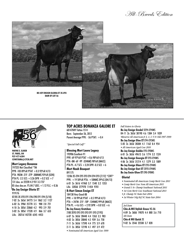All-Breeds Edition





**Wayne E. Sliker St. Paris, OH 937-477-6304 cowstama@ctcn.net**

### **Mort Legacy Bonanza**

197225 Not Classified \*TM PPR -103 89%R PTAT  $+0.3$  92%R 4/13 PTA -902M -21F -27P -308NM\$ 93%R (GEN) PTA PL -2.5 SCS  $+3.26$  DPR  $+0.2$  SCE  $+7$ 131 dau. av 22220 4.2 931 3.3 737 85 class dau.av. FS:84.7 UDC:  $+1.12$  FLC:  $+0.36$ 

#### **Bo Joy Ensign Gloria ET** 919176

07/05 2E-E93 E91 E96 E90 E91 E94 (5/10) 7-02 2x 365d 34773 5.4 1862 3.2 1127 6-02 2x 290d 25770 3.5 900 2.8 721 4-10 2x 305d 23860 4.2 993 2.9 701 3-02 2x 305d 17520 4.9 866 3.7 653 Life: 2021d 142720 6545 4453

### **Top acres bonanza galore et**

68147849 Tattoo 1514 Born: September 26, 2012 Parent Average PPR: -56 PTAT: +0.4

*"Special Fall Calf!"*

### **Blessing Mort Laura Legacy**

193906 Excellent-91 PPR -69 97%R PTAT  $+0.6$  98%R 4/13 PTA -8M -6F -9P -324NM\$ 98%R (MACE) PTA PL -4.7 SCS  $+3.24$  DPR -0.3 SCE  $+6$ **Mort Noah Bouquet**

#### 891175

12/06 2E-E94 E95 E93 E94 E94 E93 (7/12) \*CERT\* PPR:  $+1958\%$ R PTA:  $+58$ NM\$ 39%\$ (04/13) 6-01 2x 361d 41960 3.7 1540 3.2 1353 Life: 3203d 277970 11454 9781

#### **R-Hart Simon Ensign ET**

184138 Very Good-88 PPR +18 99%R PTAT +0.5 99%R 4/13 PTA +247M -21F -10P -134NM\$ 99%R (MACE) PTA PL  $+4.6$  SCS  $+2.92$  DPR  $+0.0$  SCE  $+6$ **Bo Joy Emory Gretchen**  7/00 2E93 E95 E95 E93 E91 E93 (7/93) 6-07 2x 365d 28440 4.4 1263 3.5 983 4-02 2x 305d 20840 4.5 939 3.6 758 7-11 2x 365d 17590 4.4 775 3.9 678 2-11 2x 305d 12190 4.1 497 3.9 472 *• Nominated All-American Aged Cow 1999*

*Full Sisters to Gloria*

**Bo Joy Ensign Gredel** 5E94-E94MS 04-11 2x 365d 30190 4.6 1384 3.4 1039 *•Reserve All-American Jr 3, 4, & 5 Yr-Old 1997-1999* **Bo Joy Ensign Glee ET** E94-E95MS 5-05 2x 365d 28384 4.1 1162 8.4 954 *• All-American Aged Cow 2010* **Bo Joy Ensign Goldie** E93-E90MS 6-01 2x 365d 49613 3.6 1774 3.2 1524 **Bo Joy Ensign Georgia ET** E93-E94MS 4-06 2x 365d 31214 4.1 1279 3.3 1009 **Bo Joy Ensign Glare ET** E93-E94MS **Bo Joy Ensign Gari ET** 2E93-E94MS **Bo Joy Ensin Glow ET** E90-E90MS

#### **Gloria!**

- *Nominated All-American Comp Merit Cow 2011*
- *Comp Merit Cow Nom All-American 2011*
- *Grand & Sr. Champ Southeast National 2011*
- *1st Com Merit Cow Southeast National 2011*
- *Jr. Champ NC State Fair 2004*
- *1st Winter Yrlg Hrf NC State Fair 2004*

*3rd Dam* **Chic-A-Wil Stylish Grace** VG-86 4-09 2x 360d 19870 4.4 880 3.6 710 *4th Dam*  **Chic-A Wil Quick** 2E 9-02 2x 354d 22330 3.7 820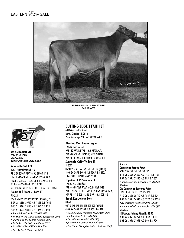EASTERN *Elite* SALE



**round hill prem lil fern et 2E-E93 dam of lot 57**



**Ken Main & Peter Vail Copake, Ny 12516 516-755-0307 36pv@caroliana-eastern.com**

#### **Sunnyside Total ET**

198777 Not Classified \*TM PPR -39 85%R PTAT +0.5 88%R 4/13 PTA +64M -9F -8P -152NM\$ 89%R (GEN) PTA PL -2.1 SCS  $+3.20$  DPR  $+0.9$  SCE  $+5$ 70 dau. av 22491 4.0 895 3.3 733 55 class dau.av. FS:83.5 UDC:  $+0.52$  FLC:  $+0.23$ 

#### **Round Hill Prem Lil Fern ET** 944228

06/08 2E-E93 E93 E92 E92 E91 E94 (07/12) 6-07 2x 365d 29740 4.5 1353 3.5 1045 3-10 2x 322d 25170 4.2 1066 3.3 829 2-06 2x 365d 23960 4.5 1077 3.5 850

- *Res. All-American Sr 2-Yr-Old 2008*
- *1st Sr 2-Yr-Old & Inter Champ. Eastern Nat 2008*
- *2nd Sr. 2-Yr-Old Central National 2008*
- *1st Sr 3-Yr-Old Eastern National 2009*
- *1st 4-Yr-Old Royal Winter Fair 2010*

#### *• 1st 4-Yr-Old NY State Fair 2010*

### **cutting edge t faith et**

68147661 Tattoo M560 Born: October 14, 2012 Parent Average PPR:  $+13$  PTAT  $+0.8$ 

### **Blessing Mort Laura Legacy**

193906 Excellent-91 PPR -69 97%R PTAT +0.6 98%R 4/13 PTA -8M -6F -9P -324NM\$ 98%R (MACE) PTA PL -4.7 SCS  $+3.24$  DPR -0.3 SCE  $+6$ **Sunnyisle Colby Twilite ET**

#### 916073

06/01 2E-E93 E92 E96 E91 E92 E94 (11/08) 3-06 2x 365d 34990 4.3 1505 3.3 1172 Life: 1333d 107110 4696 3580

### **Top Acres E P Premium ET**

191362 Not Classified PPR  $+60$  97%R PTAT  $+0.4$  98%R 4/13  $PTA + 247M + 13F + 7P + 170NM$ 98%$ R (GEN) PTA PL  $+1.5$  SCS  $+2.95$  DPR  $+0.4$  SCE  $+5$ 

#### **Brook Run Jetway Fern** 885781

### 04/10 E93 E93 E94 E95 E93 E93 (01/04)

4-05 2x 365d 23100 4.2 959 3.6 841

- *Unanimous All-American Spring Yrlg. 2000*
- *All-American Jr. 2-Yr-Old 2001*
- *Res. All-American 4-Yr-Old 2003 • Jr. Champion Central National 2000*
- 
- *Res. Grand Champion Eastern National 2003*

#### *3rd Dam*

**Campswiss Jacque Fawn**  5/05 2E92 E91 E92 E90 E90 E92 4-11 2x 365d 29850 4.9 1461 3.4 1103 3-07 2x 305d 21400 4.6 995 3.7 801 *• Nominated All-American 5-Yr-Old 2000 4th Dam* **Cie Campswiss Supreme Faith**

### 12/03 4E94 E94 E91 E95 E94 E93

7-10 2x 365d 35710 4.6 1627 3.5 1244 9-06 2x 334d 34036 4.0 1372 3.6 1238

*• All-American Aged Cow 1998 & 2000*

*• Nominated All-American 5-Yr-Old 1995 5th Dam*

**IE Bowers Johnny Mazella** 3E-92 9-08 2x 305d 23951 4.4 1049 3.4 811 8-06 2x 305d 21054 4.0 840 3.3 704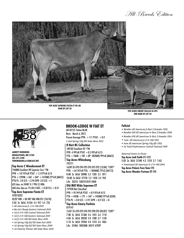. All-Breeds Edition



TOP ACRE SUPREME FIESTA ET VG-88 DAM OF LOT 58



**IARRETT REMSRERG** MIDDLETOWN, MD 21769 301-371-5498 TDREMSBURG@COMCAST.NET

#### **Top Acres C Wonderment ET**

196880 Excellent-90 Superior Sire \*TM PPR + 147 95%R PTAT + 1.3 97%R 4/13  $PTA + 1299M + 56F + 36P + 141NM$ 97%R (MACE)$ PTA PL -2.0 SCS  $+2.94$  DPR -2.0 SCE  $+5$ 655 dau. av 24487 4.1 996 3.3 806 460 class dau.av. FS:84.4 UDC:  $+$  0.20 FLC:  $+$  0.31

#### <sup>|</sup> Top Acre Supreme Fiesta ET 470210322

 $02/07$  V88 + 84 V87 V86 V88 E91 (10/10) 2-02 2x 365d 21534 4.4 957 3.4 723

- · All-American Jr. 2-Yr-Old 2010
- Res Int Champ Eastern National 2010
- 1st Jr 2-Yr-Old Central National 2010
- 1st Ir 2-Yr-Old Eastern National 2010
- 1st Jr 2-Yr-Old MD State Show 2010
- · 1st Spring Yrlg Hrf MD State Fair 2009
- · 1st Spring Yrlg Hrf MD State Show 2009
- 1st Futurity Winner MD State Show 2010

### **BROOK-LODGE W FIAT ET**

68142155 Tattoo BL40 Born: March 6, 2012 Parent Average PPR: +111 PTAT: +0.9 · 2nd Spring Yrlg MD State Show 2013

### **R Hart BC Collection**

189182 Excellent-93 \*TM PPR -4 99%R PTAT  $+0.5$  99%R 4/13 PTA + 106M + 10F + 8P -202NM\$ 99%R (MACE) **Top Acres Whizzbang** 795771

16/09 5E-E93 E94 E95 E93 E95 E92 (12/06) \*CERT\* PPR:  $+6476\%$ R PTA:  $+204$ NM\$75%\$ (04/13) 8-00 2x 365d 28980 5.2 1505 3.5 1011 10-00 2x 365d 27750 5 2 1450 3 4 934 Life: 2627d 168310 8547 6068

#### **Old Mill Wide Supreme ET**

197920 Not Classified PPR  $+9594\%$ R PTAT  $+0.995\%$ R 4/13 PTA +442M +17F +16P +145NM\$ 97%R (GEN) PTA PL  $+0.0$  SCS  $+2.91$  DPR  $+0.2$  SCE  $+8$ 

### **Top Acres Emory Faclicia**

819147

15/01 5E-E93 E95 E94 E92 E90 E93 (05/07) \*CERT\* 7-08 2x 365d 31360 4.6 1455 3.6 1118 4-06 2x 365d 30230 5.0 1500 3.7 1128 5-10 2x 365d 29260 4.8 1418 3.6 1065 Life: 2540d 180230M 8421F 6702P

### **Falicia!**

- Member All-American Jr Best 3 Females 1993
- Member HM All-American Sr Best 3 Females 1998
- Member HM All-American Sr Best 3 Females 1994
- · Nom. All-American Jr 2-Yr-Old 1994

TOP ACRES EMORY FALICIA 5E-E93 2ND DAM OF LOT 58

- Nom All-American Spring Yrlg Hfr 1993
- · 1st Total Performance Central National 1999

Maternal Sisters to Fiesta Top Acres Jedi Faith E91-E92 3-03 2x 365d 31340 4.2 1310 3.7 1163 • Nominated All-American Sr 2-Yr-Old 2004 **Top Acres Polaris Fern Twin E90** Top Acres Wonder Fortune ET E90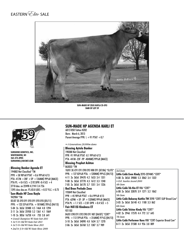



**Sun-Made HF Zeus Kayla 2E-E93 dam of lot 59**



**Sunshine genetics, Inc. Whitewater, wi 262-473-8905 sunshine@idcnet.com**

#### **Blessing Banker Agenda ET**

194882 Not Classified \*TM PPR  $+58$  98%R PTAT  $+0.6$  99%R 4/13 PTA -417M  $+28F +5P +126N$ M\$ 99%R (MACE) PTA PL  $+0.4$  SCS  $+2.92$  DPR -0.4 SCE  $+4$ 2710 dau. av 22498 4.2 941 3.4 756 1395 class dau.av. FS:83.8 UDC:  $+0.57$  FLC:  $+0.73$ 

#### **Sun-Made HF Zeus Kayla** 942984 \*TM

05/07 2E-E93 E91 E93 E91 E93 E93 (05/11) PPR: +123 55%R PTA: +181NM\$ 70%\$ (04/13) 5-04 2x 365d 32480 4.5 1464 4.0 1294 2-11 2x 365d 25930 5.2 1361 4.1 1069 1-10 2x 305d 16750 4.4 733 3.8 641 *• Grand Champion WI State Fair 2011 • 1st 5-Yr-Old WI State Fair 2011*

- *1st 5-Yr-Old WI State Show 2011*
- *2nd Sr 3-Yr-Old WI State Show 2009*

### **sun-made hp agenda karli et**

68151850 Tattoo HZ82 Born: March 6, 2013 Parent Average PPR:  $\backslash +91$  PTAT  $+0.7$ 

*• 4 Generations 30,000m dams*

**Blessing Aytola Banker** 190388 Not Classified PPR -91 99%R PTAT -0.1 99%R 4/13 PTA -441M -23F -9P -404NM\$ 99%R (MACE) **Blessing Prophet Ashton** 863033 \*TW 10/01 3E-E91 E91 E90 E95 V88 E91 (07/06) \*ELITE\* PPR: +127 83%R PTA: +520NM\$ 99%\$ (04/13) 4-11 2x 365d 39470 4.2 1653 3.4 1351 9-08 2x 365d 37770 4.3 1612 3.3 1240

7-05 2x 365d 36170 3.7 1351 3.4 1226 **Red Brae Prelude Zeus**

### 193849 Not Classified

PPR  $+45$  98%R PTAT  $+0.6$  99%R 4/13 PTA -629M  $+3F -3P +132NM$99%R (MACE)$ PTA PL  $+1.1$  SCS  $+2.81$  DPR  $+0.4$  SCE  $+5$ 

### **Fair Hill EG Kindness ET**

921103 04/01 E90 E91 E92 E90 E91 V87 (04/07) \*CERT\* PPR: +112 59%R PTA: +316NM\$ 91%\$ (04/13) 3-10 2x 365d 34090 4.8 1634 3.7 1270 2-06 2x 365d 26760 5.2 1387 3.7 989

#### *3rd Dam*

**Little Cobb Even Kindy** 2E93-2E94MS \*CERT\* 4-08 2x 365d 39000 5.3 2062 3.4 1322 *• H.R. Searles Award 2000 4th Dam* **Little Cobb Trb Kin ET** V86 \*CERT\* 6-08 2x 365d 32870 3.9 1271 3.2 1062 *5th Dam* **Little Cobb Babaray Kaitlin TW** 2E90 \*CERT-SUP Brood Cow\* 3-05 2x 365d 26140 4.5 1180 3.3 862 *6th Dam* **Little Cobb Telstar Kindy** V86 \*CERT\* 4-02 2x 294d 17570 4.4 772 3.7 645 *7th Dam* **Little Cobb Performer Kara** V88 \*CERT-Superior Brood Cow\* 8-11 2x 365d 21500 4.4 956 3.8 809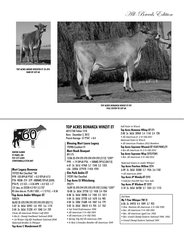# . All-Breeds Edition



TOP ACRES ANDRE WHISPER ET 2E-E93 DAM OF LOT 60



TOP ACRES BONANZA WHISP ET E91 **FULL SISTER TO LOT 60** 



**WAYNE SLIKER ST PARIS, OH** 937-477-6304 COWSTAMA@CTCN.NET

### **Mort Legacy Bonanza**

197225 Not Classified \*TM PPR-103 89%R PTAT +0.3 92%R 4/13 PTA-902M-21F-27P-308NM\$93%R (GEN) PTA PL -2.5 SCS  $+3.26$  DPR  $+0.2$  SCE  $+7$ 131 day. av 22220 4.2 931 3.3 737 85 class day.ay. FS:84.7 UDC:  $+1.12$  FLC:  $+0.36$ 

### Top Acres Andre Whisper ET 938574

06/02 2E-E93 E90 E95 E92 E93 E93 (02/11) 5-07 2x 365d 32941 5.8 1921 3.6 1174 2-04 2x 365d 21220 4.9 1040 3.4 729 •Nom All-American Winter Calf 2005 • Res Jr. Champ Southeast National 2006 · 1st Winter Yrlg Hfr Southeast National 2006 Maternal Brother to Whisper

**Top Acres C Wonderment ET** 

### **TOP ACRES BONANZA WINZIT ET**

68151768 Tattoo 1518 Born: December 2, 2012 Parent Average -57 PTAT  $+0.4$ 

### **Blessing Mort Laura Legacy**

193906 Excellent-91 **Mort Noah Bouquet** 

891175 12/06 2E-E94 E95 E93 E94 E94 E93 (7/12) \*CERT\* PPR:  $+1958\%$ R PTA:  $+58$ NM\$ 39%\$ (04/13) 6-01 2x 361d 41960 3.7 1540 3.2 1353 Life: 3203d 277970 11454 9781

**Elm Park Andre ET** 192391 Not Classified

#### **Top Acres EJ Whizzbang** 795771

16/09 5E-E93 E94 E95 E93 E95 E92 (12/06) \*CERT\* 10-00 2x 365d 27750 5.2 1450 3.4 934 8-00 2x 365d 28980 5.2 1505 3.5 1011 5-04 2x 365d 27720 6.0 1670 3.6 985 4-04 2x 330d 21680 4.8 1047 3.6 779 3-02 2x 365d 20610 4.5 935 3.7 762 • Nat Total Performance 1996 • All-American 5-Yr-Old 1995 • All-American 3-Yr-Old 1993 • Spring Yrlg Hrf All-American 1991 • Sr Best 3 Females Member All-American 1995

#### **Full Sister to Winzit**

**Top Acres Bonanza Whisp ET E91** 

- 2-00 2x 365d 20969 5.4 1143 3.4 728
- All-American Jr. 2-Yr-Old 2011
- Maternal Sister to Winzit
- · All-American Produce 2012 Members
- Top Acres Supreme Wizzard ET VG89/90MS/2Y
- Res All-American Sr 2-Yr-Old 2012
- Top Acres Supreme Wisp 2E92/93MS
- Res. All-American 5-Yr-Old 2012

Maternal Sisters to Andre Whisper **Top Acres Peerless Willow 2E94** 6-09 2x 365d 33300 5.7 1926 3.6 1182 · All-American 2000

Top Acres JP Wendy-ET 2E93 · Sold for \$42,000 New View Sale Top Acres JP Wisdom ET 3E92

3-10 2x 365d 36700 3.7 1354 3.2 1173

#### 3rd Dam

My T Fine Whisper TW 2E

6-06 2x 24910 4.4 1099 3.7 923

- Hon. Mention All-American 4-Yr-Old 1990
- Res. All-American 5-Yr-Old 1991
- Res. All-American Aged Cow 1992
- · Res. Grand Champ Eastern National 1990, 1992
- Grand Champ Eastern National 1991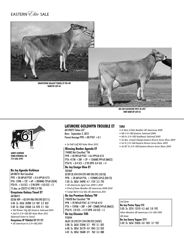# EASTERN *Clite* SALE



**BO JOY ELEVATOR TIFFI 2E-E92** 2ND DAM OF LOT 61



**JANET LUDWIG YORK SPRINGS, PA** 717-528-4792

#### **Bo Joy Agenda Goldwyn**

68108731 Not Classified PPR +58 68%R PTAT +0.4 69%R 4/13 PTA-159M + 12F + 6P + 205NM\$ 73%R (GEN) PTA PL  $+3.0$  SCS  $+2.98$  DPR  $+0.0$  SCE  $+5$ 15 dau. av 23272 4.3 998 3.4 785

#### **Graystone Galaxy Tinsel ET** 68108415

02/06 V89 + 83 E94 V86 E90 E90 (07/11) 3-04 2x 345d 26900 3.4 907 3.2 852 2-02 2x 356d 24360 3.6 878 3.1 764 · 5th Winter Yrlg Hfr Eastern National 2010 · 2nd Sr 2-Yr-Old MD State Show 2011 Maternal Sister to Tinsel

**Graystone JP Titlelist ET E91/92** · All-American Sr 2-Yr-Old 2010

## **LATIMORE GOLDWYN TROUBLE ET**

68149872 Tattoo L07 Born: September 2, 2012 Parent Average PPR: +80 PTAT +0.1

#### · 1st Fall Calf MD State Show 2013

**Blessing Banker Agenda ET** 194882 Not Classified \*TM PPR +58 98%R PTAT +0.6 99%R 4/13 PTA-417M  $+28F +5P +126NN$$  99%R (MACE) PTA PL  $+0.4$  SCS  $+2.92$  DPR -0.4 SCE  $+4$ **Bo Joy Ensign Glee ET** 922469 07/09 2E-E94 E94 E95 V89 E96 E95 (10/10) PPR:  $+2860%$ R PTA:  $+152$ NM\$ 63%\$ (04/13) 7-03 2x 305d 24090 4.7 1139 3.3 793 · All-American Aged Cow 2009 & 2010 · Prod of Dam Member All-American 2008-2010 • Comp Merit Cow Res All-American 2011 **Bo Joy Premium Galaxy TW** 198428 Not Classified \*TW PPR +78 90%R PTAT -0.1 91%R 4/13 PTA + 1595M + 20F + 34P - 12NM\$ 94%R (MACE) PTA PL -2.8 SCS  $+3.12$  DPR -0.8 SCE  $+5$ **Bo Joy Elevator Tiffi** 910244 06/01 2E-E92 E91 E94 E90 E92 (10/07) 3-00 2x 362d 27040 3.7 992 3.1 825

6-00 2x 305d 26170 4.0 1043 3.2 832 4-01 2x 305d 24600 3.9 962 3.3 800

#### Tiffi!

- Sr Best 3 Fmls Member All-American 2006
- 5th 4-Yr-Old Eastern National 2006
- 4th Sr 3-Yr-Old Southeast National 2005
- · 1st Res. Grand Champ Eastern Brown Swiss Show 2005
- 1st Sr 3-Yr-Old Eastern Brown Swiss Show 2005
- 1st BU Sr 3-Yr-Old Eastern Brown Swiss Show 2005

3rd Dam

**Bo Joy Pretus Tipsy E90** 3-03 2x 327d 15510 4.3 665 3.8 592 •Hon Mention All-American 3-Yr-Old 1999 4th Dam **Bo Joy Emory Topper 2E91** 5-03 2x 365d 25826 4.0 1031 3.7 937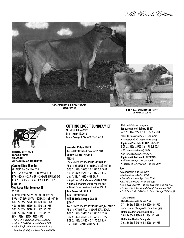Hll-Rreeds Edition



TOP ACRES PILOT SUNGLOW ET 2E-E93 DAM OF LOT 62



**KEN MAIN & PETER VAIL COPAKE, NY 12516** 516-755-0307 36PV@CAROLIANA-EASTERN.COM

#### **Cutting Edge Thunder**

68121893 Not Classified \*TM PPR  $+7561\%$ R PTAT  $+0.865\%$ R 4/13 PTA +354M +22F +6P +202NM\$ 64%R (GEN) PTA PL + 2.1 SCS + 2.99 DPR + 1.0 SCE + 6 O dav. av

#### Top Acres Pilot Sunglow ET 937124

07/09 2E-E93 E95 E92 E93 E94 E91 (07/12) PPR:  $+2156\%$ R PTA:  $+37$ NM\$ 34%\$ (04/13) 6-07 2x 365d 29870 4.3 1280 3.4 1024 4-08 2x 365d 25780 4.8 1248 3.6 926 2-07 2x 337d 22580 4.1 933 3.2 725 3-08 2x 316d 20800 4.1 851 3.5 720 Life: 1788d 125130 5427 4376 • 6th Sr 2-Yr-Old Central National 2007 • 6th Sr 2-Yr-Old Eastern National 2007

· 4th Fall Hfr Calf Eastern National 2005

· 2nd Fall Hfr Calf Southeast National 2005

### **CUTTING EDGE T SUNBEAM ET**

68150894 Tattoo M539 Born: March 12, 2013 Parent Average PPR: +50 PTAT +0.9

#### **Webster Ridge TD ET**

193164 Not Classified \*Qualified\* \*TM **Sunnvisle KB Tristan ET** 918368 06/07 2E-E93 E92 E96 E90 E95 E93 (08/09) PPR:  $+2663\%$ R PTA: -60NMŠ 15%Š (04/13) 6-03 2x 353d 30600 5.1 1555 3.4 1050 2-03 2x 358d 26230 4.2 1089 3.3 846 Life: 1542d 116620 4943 3925 • Aged Cow HM All-American 2009 & 2010

- . Nam All-American Winter Yrlg Hfr 2004
- . Grand Champ Northwest National 2010

#### **Top Acres Jet Pilot ET**

191611 Not Classified **Hill-N-Dale Ensign Sue ET** 841967

12/09 3E-E93 E94 E93 E92 E90 E95 (12/06) \*CERT\* PPR:  $+9$  74%R PTA:  $+60$ NM\$ 40%\$ (04/13) 4-04 2x 365d 36360 3.7 1348 3.5 1255 6-02 2x 365d 34630 4.8 1656 3.5 1195 3-01 2x 365d 28130 4.2 1170 3.4 950 Life: 1840d 162010 6847 5610

HILL-N-DALE ENSIGN SUE ET 3E-E93 2ND DAM OF LOT 62

Maternal Sisters to Sunglow Top Acres M Coll Subaru ET E91

2-05 2x 317d 22500 5.0 1129 3.2 730

•Res. All-American Sr 2-Yr-Old 2002

- Winner 50th All-American Futurity
- Top Acres Pilot Suki ET OCS E92/94MS
- 2-07 2x 365d 23950 3.6 851 3.2 775
- · All-American Fall Calf 2005
- · All-American Sr. 2-Yr-Old 2007
- Top Acres M Coll Sue ET 2E93/94M
- · All-American Jr. 2-Yr-Old 2006
- Reserve All-American Jr. 3-Yr-Old 2007

#### Sue!

- · All-American 5-Yr-Old 1999
- All-American 4-Yr-Old 1998
- · Res. All-American Aged Cow 2000
- Res. All-American Sr 3-Yr-Old 1997
- 1st & Best Udder Sr. 3-Yr-Old East. Nat. & SE Nat 1997
- · 1st 4-Yr-Old & Res. Grand Champ Central Nat 1998
- 1st & Best Udder 5-Yr-Old & Grand Champ SE Nat 1999

#### 3rd-5th Dams

Hill-N-Dale Jade Sarah 2E92 7-11 2x 365d 25980 4.0 1050 3.6 942 • Res. Grand Champ Ohio State Fair 1993 **Betta Vue Performer Sarah V86** 3-08 2x 334d 18040 4.1 736 3.7 662 **Betta Vue Burton Sandy V86** 7-08 2x 365d 24810 4.4 1085 3.9 963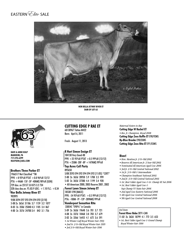EASTERN<sup>C</sup>Elite SALE



**Nor Bella Jetway River ET dam of lot 63**



**Dave & Anne Kulp Manheim, PA 717-278-6399 kulpgen@aol.com**

#### **Brothers Three Parker ET**

1966517 Not Classified \*TM PPR +8 92%R PTAT +0.8 96%R 12/12 PTA +446M -15F -5P -40NM\$ 98%R (GEN) 729 dau. av 23157 3.8 875 3.2 734 328 class dau.av. FS:83.9 UDC: +1.10 FLC: +0.34 **Nor Bella Jetway River ET** 902895 9/08 3E94 E97 E93 E94 E94 E92 (2/10)

5-08 2x 365d 31186 3.7 1159 3.2 1077 8-03 2x 350d 25840 4.3 1105 3.4 867 4-00 2x 357d 24700 3.4 842 3.1 756

### **cutting edge p rae et**

68130967 Tattoo M422 Born: April 6, 2011

Fresh: August 11, 2013

#### **R Hart Simon Ensign ET**

184138 Very Good-88 PPR +25 95%R PTAT +0.5 99%R (12/12) PTA +258M -20F -8P +147NM\$ 99%R

**Top Acres Coll Party** 895650 5/08 2E93 E94 E92 E94 E94 E92 (11/05) \*CERT\* 2-00 2x 365d 28950 5.9 1708 3.5 999 5-02 2x 365d 27280 4.4 1199 3.4 920 • All-American 2000, 2003 Reserve 2001, 2002

**Forest Lawn Simon Jetway ET** 185301 E90 (MACE) PPR: -54 95%R PTAT: +0.5 99%R (12/12) PTA: -100M -7F -12P -289NM\$ 99%R **Vanderpost Sensation Rita** 33854C "E90%" in Canada 5-09 2x 363d 19648 3.6 701 3.7 721

4-08 2x 337d 18468 3.8 703 3.7 679 2-02 2x 326d 16455 4.1 672 3.6 591 *• 1st Winter Calf Royal Winter Fair 1993 • 2nd Sr. 2-Yr-Old Royal Winter Fair 1995*

*• 3rd 3-Yr-Old Royal Winter Fair 1996*

*Maternal Sisters to Rae* **Cutting Edge W Rachel ET** *• Res. Jr. Champion, Royal 2008* **Cutting Edge Zeus Ruffle ET** E90/92MS **Ky-Blue Brooke** E90/EXMS **Cutting Edge Zeus Rita ET** E91/EXMS

#### **River!**

- *Hon. Mention Jr. 2-Yr-Old 2002*
- *Reserve All American Jr. 3 Year Old 2003*
- *Nominated All American Aged Cow 2006*
- *3rd Jr. 2-Yr-Old Central National 2002*
- *1st Jr. 3-Yr-Old & Intermediate*
- *Champion Southeast National 2003*
- *2nd Jr. 3-Yr-Old Central National 2003*
- *1st ,Best Udder Aged Cow & Gr. Champ SE Nat 2006*
- *1st, Best Udder Aged Cow & Sup Champ NY State Fair 2006*
- *2nd Aged Cow Eastern National 2006*
- *4th Aged Cow Central National 2006*
- *5th Aged Cow Central National 2008*

#### *3rd Dam*

### **Forest River Reba** 3E91-CAN

11-02 2x 362d 18799 4.1 772 3.5 653

*• 1st, Best Udder Aged Cow & Grand Champ Royal Winter Fair 1990*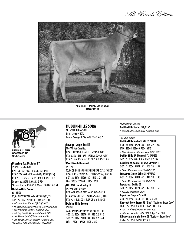All-Breeds Edition



**Dublin-hills sonora V87 @ 02-01 dam of lot 64**



**Dublin Hills Farm woodsboro, md 301-845-6894**

#### **Blessing Tex Braiden ET**

198735 Excellent-92 PPR -6 81%R PTAT  $+0.6$  87%R 4/13 PTA -272M -27F -15P  $+64$ NM\$ 86%R (GEN) PTA PL  $+3.5$  SCS  $+2.86$  DPR  $+1.4$  SCE  $+6$ 56 dau. av 23079 4.0 928 3.3 754 50 class dau.av. FS:84.5 UDC:  $+1.10$  FLC:  $+0.54$ **Dublin-Hills Sonora**  68126478 02/01 V87 V85 V87 +84 V87 V89 (01/13)

- 1-05 2x 303d 20540 4.1 844 3.5 709 *• All-American Winter Hfr Calf 2011*
- *Jr. Best Fmls Member Res All-American 2011*
- *Res Jr Champ Eastern National 2011*
- *1st Yrlg in Milk Eastern National 2012*
- *1st Winter Hfr Calf International 2011*
- *1st Winter Hfr Calf Eastern National 2011*
- *"Potential 10th Generation of Excellent"*

### **dublin-hills sora**

68152718 Tattoo SB78 Born: June 9, 2013 Parent Average PPR:  $+46$  PTAT  $+0.7$ 

#### **Savage-Leigh Tex ET**

196774 Not Classified PPR -108 90%R PTAT +0.5 93%R 4/13 PTA -835M -56F -37P -177NM\$ 93%R (GEN) PTA PL  $+2.3$  SCS  $+3.00$  DPR  $+0.8$  SCE  $+5$ **Mort Noah Bouquet** 891175

12/06 2E-E94 E95 E93 E94 E94 E93 (7/12) \*CERT\* PPR:  $+1958\%$ R PTA:  $+58$ NM\$ 39%\$ (04/13) 6-01 2x 361d 41960 3.7 1540 3.2 1353 Life: 3203d 277970 11454 9781

**Old Mill Ta Starsky ET** 197921 Not Classified  $PPR + 1093\%$ R PTAT  $+0.296\%$ R 4/13 PTA -624M -4F -5P  $+66$ NM\$ 96%R (GEN) PTA PL  $+1.8$  SCS  $+3.07$  DPR  $+1.4$  SCE **Dublin-Hills Sonya**

938965 07/07 E90 E96 E92 E92 V89 V86 (01/13) 4-03 2x 365d 22810 3.9 888 3.6 812 3-03 2x 316d 21480 3.8 817 3.6 768 Life: 1762d 107420 4108 3819

*Full Sister to Sonora*

**Dublin-Hills Sorina** E90/91MS

*• Second High Seller 2012 National Sale* 

*3rd-10th Dams*

**Dublin-Hills Sasha** 3E94/E93 \*ELITE\* 8-06 2x 365d 37040 3.6 1335 3.4 1260 LTD: 2234d 188640 7374 6543 *• Hon. Mention All-American 2002, 2003* **Dublin-Hills EP Shanna ET** 2E91/E90 8-05 2x 305d 26010 4.5 1169 3.2 844 **Garslynn SS Sonnet ET OCS 2E91/E91** 3-03 2x 365d 31210 5.1 1556 3.6 1159 *• Nom. All-American 4-Yr-Old 1997* **Top Acres Simon Sable** 3E92/91MS 9-01 2x 336d 31120 4.5 1411 3.8 1193 *• Nom. All-American 4-Yr-Old 1992* **Top Acres J Sadie** 2E 9-00 2x 319d 30550 4.9 1493 3.8 1158 *• Res. All-American 1985* **Top Acres Elegant Syle** 2E 7-00 2x 365d 19030 4.4 840 3.7 701 **Kiravock Snow Storm** 5E \*Elite\* "Supierior Brood Cow" 10-01 2x 365d 30210 4.1 1225 3.8 1152 *• Nat. Total Performace Winner 1981 • All-American 4-Yr-Old 1975 & Age Cow 1981* **Kilravock Midnight Snow** 5E "Supierior Brood Cow" 11-04 2x 365d 22050 4.2 931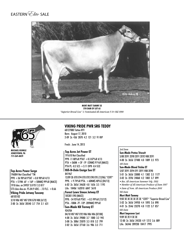# EASTERN *Elite* SALE



**Mort Matt Tammy 3E 5th dam of lot 65** *"Superior Brood Cow" & Nominated All-American 5-Yr-Old 1990*



**Michael Kunkle Jonestown, pa 717-269-8829**

#### **Top Acres Power Surge**

196004 Not Classified \*TM PPR  $+36$  98%R PTAT  $+0.8$  98%R 4/13 PTA  $+519M -6F +16P +58NM$ \$ 99%R (MACE) 1918 dau. av 24937 3.8 951 3.3 817 573 class dau.av. FS:84.9 UDC: -.13 FLC: +0.66

### **Viking Pride Jetway Tuscany**

68105102

3/10 V86 V87 V87 E90 G78 V88 (4/12) 2-00 2x 365d 20540 3.7 754 3.1 631

### **Viking Pride pwr srg teddy**

68127880 Tattoo K91 Born: August 17, 2010 2-09 2x 43d 2870 4.2 121 3.2 91 RIP

Fresh: June 14, 2013

#### **Top Acres Jet Power ET**

191610 Not Classified PPR -11 88%R PTAT  $+0.3$  87%R 4/13 PTA +360M +3F -1P -52NM\$ 91%R (MACE) PTA PL -0.5 SCS +3.11 DPR -0.4 SCE

#### **Hill-N-Dale Ensign Sue ET** 841967

12/09 3E-E93 E94 E93 E92 E90 E95 (12/06) \*CERT\* PPR:  $+9$  74%R PTA:  $+60$ NM\$ 40%\$ (04/13) 6-02 2x 365d 34630 4.8 1656 3.5 1195 Life: 1840d 162010 6847 5610

**Forest Lawn Simon Jetway ET** 185301 E90 (MACE) PPR: -54 95%R PTAT: +0.5 99%R (12/12) PTA: -100M -7F -12P -289NM\$ 99%R **Sun-Made KB Tierney ET** 924704 04/10 V87 V87 E92 V86 V86 V86 (07/08) 4-08 2x 365d 29080 3.7 1080 3.2 945 3-08 2x 308d 25070 3.3 818 3.2 799 2-02 2x 365d 27160 3.6 986 3.3 711

#### *3rd Dam*

**Sun-Made Pretus Triscuit**  5/00 2E91 2E90 2E91 2E92 V88 2E91 4-00 2x 365d 27480 4.0 1089 3.5 973 *4th Dam*

### **Sun-Made Blend Trisha ET** 5/07 2E91 2E94 E91 2E91 V88 2E90

5-01 2x 365d 33880 4.1 1382 3.5 1177

- 3-02 2x 359d 24060 4.2 1002 3.7 899
- *Res. All-American Summer Yrlg. 1993*
- *Member of All-American Produce of Dam 1997*
- *Dam of Nom. All-American Produce 2001 5th Dam*

#### **Mort Matt Tammy**

9/02 3E 3E 3E 3E 2E 3E \*CERT\* "Superior Brood Cow" 5-02 2x 365d 24950 4.4 1093 3.6 898 4-01 2x 354d 23270 4.8 1122 3.7 857 *6th Dam* **Mort Improver Lori** 9/09 3E 2E V 3E 3E 12-00 2x 365d 24520 4.9 1212 3.6 889 Life: 3634d 209230 10417 7995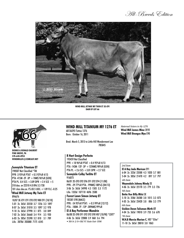All-Breeds Edition



**Wind Mill Jetway My Twin ET 3E-E91 Dam of lot 66**



**Dennis & Ronald Daubert Pine Grove, PA 570-640-8954 windmill01@comcast.net**

#### **Sunnyisle Titanium ET**

198507 Not Classified \*TM PPR -3 93%R PTAT  $+0.5$  92%R 4/13 PTA -415M -2F -3P  $+1$ NM\$ 96%R (GEN) PTA PL -0.4 SCS  $+3.09$  DPR  $+2.4$  SCE  $+5$ 318 dau. av 22310 4.0 896 3.3 730 101 class dau.av. FS:83.5 UDC: + 1.09 FLC:-0.25

#### **Wind Mill Jetway My Twin ET** 896676

10/07 3E-E91 E91 E93 E92 V88 E91 (10/10) 5-01 2x 365d 33550 3.7 1256 3.3 1097 8-07 2x 365d 31010 3.5 1097 3.2 978 9-10 2x 365d 27990 3.1 875 3.0 849 7-02 2x 365d 26660 3.4 914 3.5 920 6-03 2x 305d 25390 3.2 810 3.1 789 Life: 2878d 203080 7175 6545

### **Wind mill Titanium My 1276 ET**

68136293 Tattoo 1276 Born: October 16, 2011 *Maternal Sisters to My 1276* **Wind Mill James Mine** 2E92 **Wind Mill Brangus Mya** E90

Bred: March 5, 2013 to Little Hill Wonderment Lee 7BS845

#### **R Hart Ensign Perfecta**

193459 Not Classified PPR +18 96%R PTAT +0.4 95%R 4/13 PTA -143M -12F -3P +125NM\$ 98%R (GEN) PTA PL  $+2.6$  SCS  $+3.01$  DPR  $+2.7$  SCE **Sunnyisle Colby Twilite ET** 916073 06/01 2E-E93 E92 E96 E91 E92 E94 (11/08) PPR: -29 77%R PTA: -99NM\$ 100%\$ (04/13)

3-06 2x 365d 34990 4.3 1505 3.3 1172 Life: 1333d 107110 4696 3580

**Forest Lawn Simon Jetway ET** 185301 E90 (MACE) PPR: -54 95%R PTAT: +0.5 99%R (12/12) PTA: -100M -7F -12P -289NM\$ 99%R **El A Ray Performer Mandrin**

06/00 2E-E90 E91 E92 E92 E90 V87 (10/98) \*CERT\* 4-06 2x 365d 22000 3.9 860 3.6 794 *• 5th Sr 3-Yr-Old NY State Fair 1996*

*3rd Dam* **El A Ray Jade Marican** E91 6-04 2x 323d 23500 4.3 1020 3.7 881 5-04 2x 305d 21470 4.2 897 3.7 797 *4th Dam* **Waynedale Johnny Mindy** 2E 4-06 2x 365d 22170 3.5 779 3.3 726 *5th Dam* **Betta Vue Billy Mitzi** 3E 5-10 2x 358d 26580 3.8 1015 3.3 873 4-05 2x 365d 23420 3.8 886 3.3 779 *6th Dam* **Golden Dawn Talisman Mirth ET** 4-04 2x 365d 19010 3.9 733 3.6 678 *7th Dam*  **W.H.B Marcia Marian C.** V87 \*Elite\* 11-10 2x 365d 28010 3.8 1063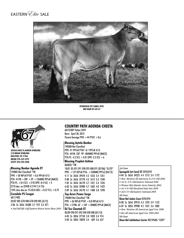



**Spungold jet carol 2E93 3rd dam of lot 67**



**Jessica Nolt & Aaron Sparling c/o Brian Sparling ralston, PA 17763 Brian 570-337-3757 Scott 570-220-5500**

#### **Blessing Banker Agenda ET**

194882 Not Classified \*TM PPR +58 98%R PTAT +0.6 99%R 4/13 PTA -417M  $+28F +5P +126N$ M\$ 99%R (MACE) PTA PL  $+0.4$  SCS  $+2.92$  DPR -0.4 SCE  $+4$ 2710 dau. av 22498 4.2 941 3.4 756 1395 class dau.av. FS:83.8 UDC: +0.57 FLC: +0.73

### **Coredale PS Cougar**

68117402 02/07 V85 G78 V88 G78 E90 V85 (4/12) 2-06 2x 365d 26380 3.7 972 3.3 871 *• 2nd Fall Hfr Calf Eastern Brown Swiss Show 2010*

### **Country Path Agenda Cheeta**

68152309 Tattoo 2439 Born: April 28, 2013 Parent Average PPR:  $+44$  PTAT  $+0.6$ 

#### **Blessing Aytola Banker**

190388 Not Classified PPR -91 99%R PTAT -0.1 99%R 4/13 PTA -441M -23F -9P -404NM\$ 99%R (MACE) PTA PL -4.2 SCS  $+3.01$  DPR -2.3 SCE  $+6$ 

### **Blessing Prophet Ashton**

863033 \*TW 10/01 3E-E91 E91 E90 E95 V88 E91 (07/06) \*ELITE\* PPR: +127 83%R PTA: +520NM\$ 99%\$ (04/13) 4-11 2x 365d 39470 4.2 1653 3.4 1351 9-08 2x 365d 37770 4.3 1612 3.3 1240 7-05 2x 365d 36170 3.7 1351 3.4 1226 6-02 2x 365d 35980 4.7 1682 4.0 1422 2-09 2x 365d 34170 4.1 1408 3.8 1298

#### **Top Acres Power Surge** 196004 Not Classified \*TM

PPR  $+36$  98%R PTAT  $+0.8$  98%R 4/13 PTA  $+519M -6F +16P +58NM$ \$99%R (MACE) **DJ Tex Cheetah ET**

05/09 E90 E91 E92 E90 E90 V88 (01/13) 4-03 2x 305d 27150 3.8 1020 3.4 914 2-04 2x 305d 18070 3.4 609 3.6 657

#### *3rd Dam*

### **Spungold Jet Carol ET** 2E93/E92

4-04 2x 365d 34225 4.4 1512 3.4 1172

- *Hon. Mention All-American Sr 2-Yr-Old 2003*
- *1st Sr. 2-Yr-Old Eastern National 2003*
- *Winner Mid-Atlantic Swiss Futurity 2003*
- *1st 4-Yr-Old Maryland State Fair 2005*
- *3rd 4-Yr-Old Eastern National 2005 4th Dam*

**Shen-Val Jades Cara** 5E93/E94 8-00 2x 365d 29910 4.3 1292 3.9 1152 6-07 2x 305d 29900 4.5 1331 3.6 1082 *• Hon. Mention All-American Aged Cow 1998*

*• Res All-American Aged Cow 1999-2001 5th Dam*

**Shen-Val Jubilation Carrie** V87/VGMS \*CERT\*